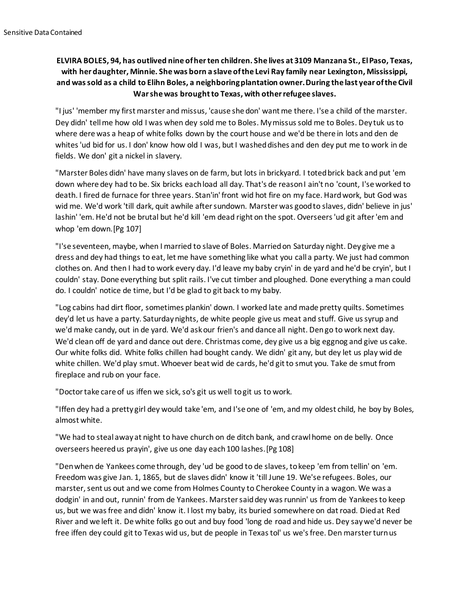## **ELVIRA BOLES, 94, has outlived nine of her ten children. She lives at 3109 Manzana St., El Paso, Texas, with her daughter, Minnie. She was born a slave of the Levi Ray family near Lexington, Mississippi, and was sold as a child to Elihn Boles, a neighboring plantation owner. During the last year of the Civil War she was brought to Texas, with other refugee slaves.**

"I jus' 'member my first marster and missus, 'cause she don' want me there. I'se a child of the marster. Dey didn' tell me how old I was when dey sold me to Boles. My missus sold me to Boles. Dey tuk us to where dere was a heap of white folks down by the court house and we'd be there in lots and den de whites 'ud bid for us. I don' know how old I was, but I washed dishes and den dey put me to work in de fields. We don' git a nickel in slavery.

"Marster Boles didn' have many slaves on de farm, but lots in brickyard. I toted brick back and put 'em down where dey had to be. Six bricks each load all day. That's de reason I ain't no 'count, I'se worked to death. I fired de furnace for three years. Stan'in' front wid hot fire on my face. Hard work, but God was wid me. We'd work 'till dark, quit awhile after sundown. Marster was good to slaves, didn' believe in jus' lashin' 'em. He'd not be brutal but he'd kill 'em dead right on the spot. Overseers 'ud git after 'em and whop 'em down.[Pg 107]

"I'se seventeen, maybe, when I married to slave of Boles. Married on Saturday night. Dey give me a dress and dey had things to eat, let me have something like what you call a party. We just had common clothes on. And then I had to work every day. I'd leave my baby cryin' in de yard and he'd be cryin', but I couldn' stay. Done everything but split rails. I've cut timber and ploughed. Done everything a man could do. I couldn' notice de time, but I'd be glad to git back to my baby.

"Log cabins had dirt floor, sometimes plankin' down. I worked late and made pretty quilts. Sometimes dey'd let us have a party. Saturday nights, de white people give us meat and stuff. Give us syrup and we'd make candy, out in de yard. We'd ask our frien's and dance all night. Den go to work next day. We'd clean off de yard and dance out dere. Christmas come, dey give us a big eggnog and give us cake. Our white folks did. White folks chillen had bought candy. We didn' git any, but dey let us play wid de white chillen. We'd play smut. Whoever beat wid de cards, he'd git to smut you. Take de smut from fireplace and rub on your face.

"Doctor take care of us iffen we sick, so's git us well to git us to work.

"Iffen dey had a pretty girl dey would take 'em, and I'se one of 'em, and my oldest child, he boy by Boles, almost white.

"We had to steal away at night to have church on de ditch bank, and crawl home on de belly. Once overseers heered us prayin', give us one day each 100 lashes.[Pg 108]

"Den when de Yankees come through, dey 'ud be good to de slaves, to keep 'em from tellin' on 'em. Freedom was give Jan. 1, 1865, but de slaves didn' know it 'till June 19. We'se refugees. Boles, our marster, sent us out and we come from Holmes County to Cherokee County in a wagon. We was a dodgin' in and out, runnin' from de Yankees. Marster said dey was runnin' us from de Yankees to keep us, but we was free and didn' know it. I lost my baby, its buried somewhere on dat road. Died at Red River and we left it. De white folks go out and buy food 'long de road and hide us. Dey say we'd never be free iffen dey could git to Texas wid us, but de people in Texas tol' us we's free. Den marster turn us